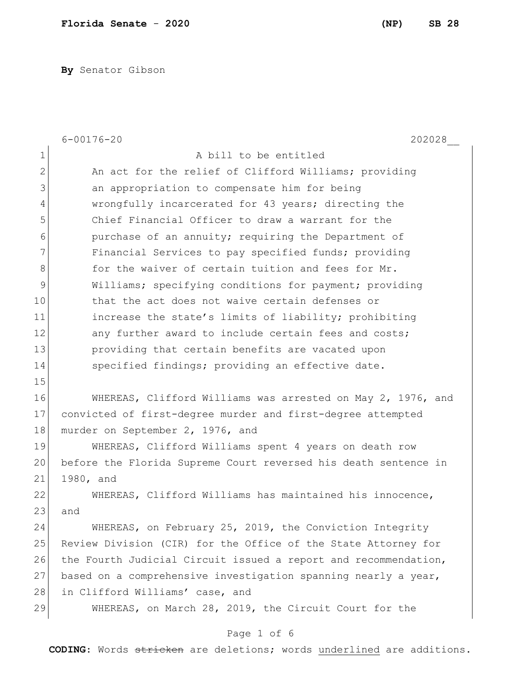**By** Senator Gibson

|               | $6 - 00176 - 20$<br>202028                                      |
|---------------|-----------------------------------------------------------------|
| $\mathbf 1$   | A bill to be entitled                                           |
| $\mathbf{2}$  | An act for the relief of Clifford Williams; providing           |
| 3             | an appropriation to compensate him for being                    |
| 4             | wrongfully incarcerated for 43 years; directing the             |
| 5             | Chief Financial Officer to draw a warrant for the               |
| 6             | purchase of an annuity; requiring the Department of             |
| 7             | Financial Services to pay specified funds; providing            |
| $8\,$         | for the waiver of certain tuition and fees for Mr.              |
| $\mathcal{G}$ | Williams; specifying conditions for payment; providing          |
| 10            | that the act does not waive certain defenses or                 |
| 11            | increase the state's limits of liability; prohibiting           |
| 12            | any further award to include certain fees and costs;            |
| 13            | providing that certain benefits are vacated upon                |
| 14            | specified findings; providing an effective date.                |
| 15            |                                                                 |
| 16            | WHEREAS, Clifford Williams was arrested on May 2, 1976, and     |
| 17            | convicted of first-degree murder and first-degree attempted     |
| 18            | murder on September 2, 1976, and                                |
| 19            | WHEREAS, Clifford Williams spent 4 years on death row           |
| 20            | before the Florida Supreme Court reversed his death sentence in |
| 21            | 1980, and                                                       |
| 22            | WHEREAS, Clifford Williams has maintained his innocence,        |
| 23            | and                                                             |
| 24            | WHEREAS, on February 25, 2019, the Conviction Integrity         |
| 25            | Review Division (CIR) for the Office of the State Attorney for  |
| 26            | the Fourth Judicial Circuit issued a report and recommendation, |
| 27            | based on a comprehensive investigation spanning nearly a year,  |
| 28            | in Clifford Williams' case, and                                 |
| 29            | WHEREAS, on March 28, 2019, the Circuit Court for the           |
|               | Page 1 of 6                                                     |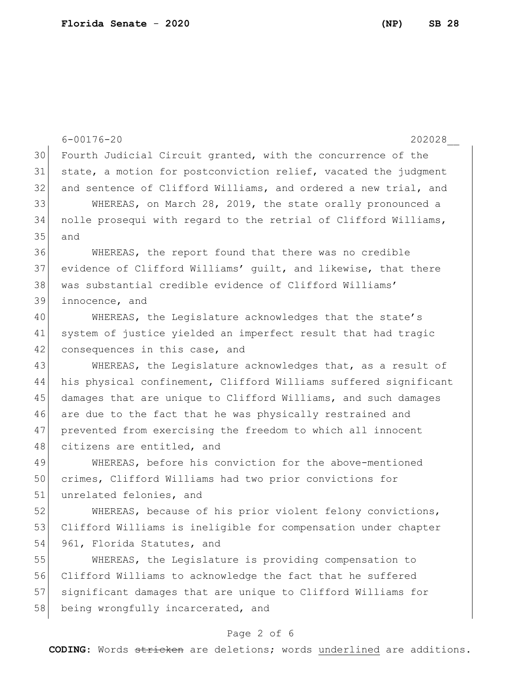|    | $6 - 00176 - 20$<br>202028                                       |
|----|------------------------------------------------------------------|
| 30 | Fourth Judicial Circuit granted, with the concurrence of the     |
| 31 | state, a motion for postconviction relief, vacated the judgment  |
| 32 | and sentence of Clifford Williams, and ordered a new trial, and  |
| 33 | WHEREAS, on March 28, 2019, the state orally pronounced a        |
| 34 | nolle prosequi with regard to the retrial of Clifford Williams,  |
| 35 | and                                                              |
| 36 | WHEREAS, the report found that there was no credible             |
| 37 | evidence of Clifford Williams' quilt, and likewise, that there   |
| 38 | was substantial credible evidence of Clifford Williams'          |
| 39 | innocence, and                                                   |
| 40 | WHEREAS, the Legislature acknowledges that the state's           |
| 41 | system of justice yielded an imperfect result that had tragic    |
| 42 | consequences in this case, and                                   |
| 43 | WHEREAS, the Legislature acknowledges that, as a result of       |
| 44 | his physical confinement, Clifford Williams suffered significant |
| 45 | damages that are unique to Clifford Williams, and such damages   |
| 46 | are due to the fact that he was physically restrained and        |
| 47 | prevented from exercising the freedom to which all innocent      |
| 48 | citizens are entitled, and                                       |
| 49 | WHEREAS, before his conviction for the above-mentioned           |
| 50 | crimes, Clifford Williams had two prior convictions for          |
| 51 | unrelated felonies, and                                          |
| 52 | WHEREAS, because of his prior violent felony convictions,        |
| 53 | Clifford Williams is ineligible for compensation under chapter   |
| 54 | 961, Florida Statutes, and                                       |
| 55 | WHEREAS, the Legislature is providing compensation to            |
| 56 | Clifford Williams to acknowledge the fact that he suffered       |
| 57 | significant damages that are unique to Clifford Williams for     |
| 58 | being wrongfully incarcerated, and                               |

## Page 2 of 6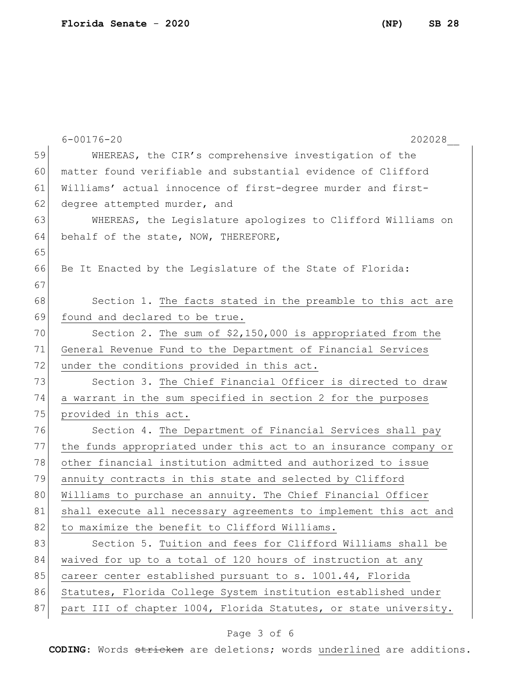6-00176-20 202028\_\_ 59 WHEREAS, the CIR's comprehensive investigation of the 60 matter found verifiable and substantial evidence of Clifford 61 Williams' actual innocence of first-degree murder and first-62 degree attempted murder, and 63 WHEREAS, the Legislature apologizes to Clifford Williams on 64 behalf of the state, NOW, THEREFORE, 65 66 Be It Enacted by the Legislature of the State of Florida: 67 68 Section 1. The facts stated in the preamble to this act are 69 found and declared to be true. 70 Section 2. The sum of \$2,150,000 is appropriated from the 71 General Revenue Fund to the Department of Financial Services 72 under the conditions provided in this act. 73 Section 3. The Chief Financial Officer is directed to draw 74 a warrant in the sum specified in section 2 for the purposes 75 provided in this act. 76 Section 4. The Department of Financial Services shall pay 77 the funds appropriated under this act to an insurance company or 78 other financial institution admitted and authorized to issue 79 annuity contracts in this state and selected by Clifford 80 Williams to purchase an annuity. The Chief Financial Officer 81 shall execute all necessary agreements to implement this act and 82 to maximize the benefit to Clifford Williams. 83 Section 5. Tuition and fees for Clifford Williams shall be 84 waived for up to a total of 120 hours of instruction at any 85 career center established pursuant to s. 1001.44, Florida 86 Statutes, Florida College System institution established under

**CODING**: Words stricken are deletions; words underlined are additions.

87 part III of chapter 1004, Florida Statutes, or state university.

Page 3 of 6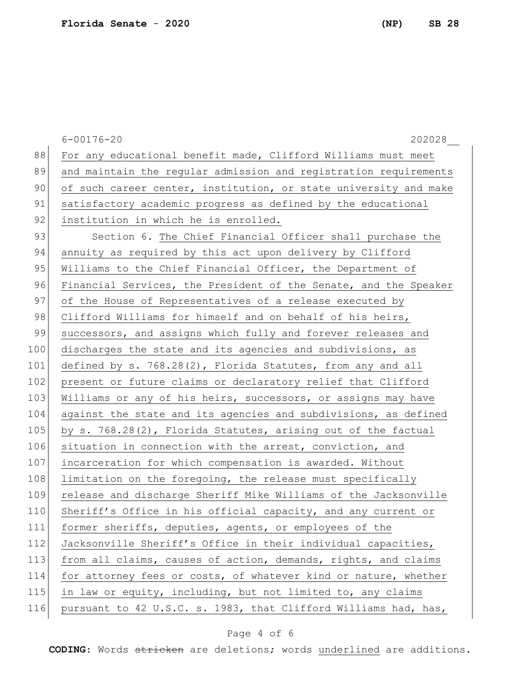6-00176-20 202028\_\_ 88 For any educational benefit made, Clifford Williams must meet 89 and maintain the regular admission and registration requirements 90 of such career center, institution, or state university and make 91 satisfactory academic progress as defined by the educational 92 institution in which he is enrolled. 93 Section 6. The Chief Financial Officer shall purchase the 94 annuity as required by this act upon delivery by Clifford 95 Williams to the Chief Financial Officer, the Department of 96 Financial Services, the President of the Senate, and the Speaker 97 of the House of Representatives of a release executed by 98 Clifford Williams for himself and on behalf of his heirs, 99 successors, and assigns which fully and forever releases and 100 discharges the state and its agencies and subdivisions, as 101 defined by s. 768.28(2), Florida Statutes, from any and all 102 present or future claims or declaratory relief that Clifford 103 Williams or any of his heirs, successors, or assigns may have 104 against the state and its agencies and subdivisions, as defined 105 by s. 768.28(2), Florida Statutes, arising out of the factual 106 situation in connection with the arrest, conviction, and 107 incarceration for which compensation is awarded. Without 108 limitation on the foregoing, the release must specifically 109 release and discharge Sheriff Mike Williams of the Jacksonville 110 Sheriff's Office in his official capacity, and any current or 111 former sheriffs, deputies, agents, or employees of the 112 Jacksonville Sheriff's Office in their individual capacities, 113 from all claims, causes of action, demands, rights, and claims 114 for attorney fees or costs, of whatever kind or nature, whether 115 in law or equity, including, but not limited to, any claims 116 pursuant to 42 U.S.C. s. 1983, that Clifford Williams had, has,

## Page 4 of 6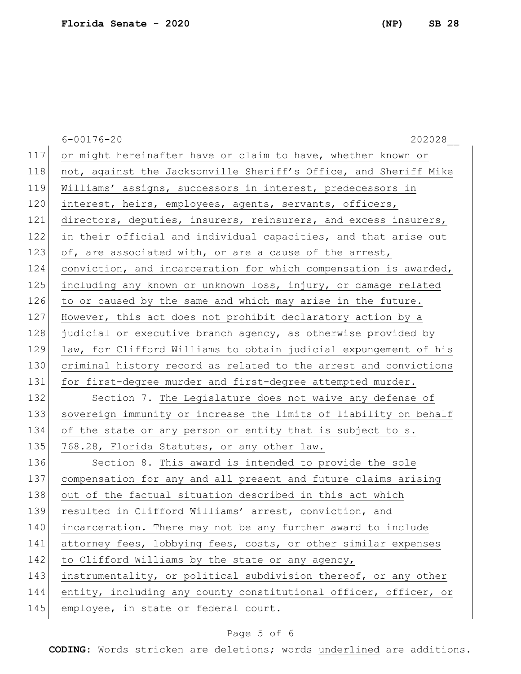6-00176-20 202028\_\_ 117 or might hereinafter have or claim to have, whether known or 118 not, against the Jacksonville Sheriff's Office, and Sheriff Mike 119 Williams' assigns, successors in interest, predecessors in 120 interest, heirs, employees, agents, servants, officers, 121 directors, deputies, insurers, reinsurers, and excess insurers, 122 in their official and individual capacities, and that arise out 123 of, are associated with, or are a cause of the arrest, 124 conviction, and incarceration for which compensation is awarded, 125 including any known or unknown loss, injury, or damage related 126 to or caused by the same and which may arise in the future. 127 However, this act does not prohibit declaratory action by a 128 judicial or executive branch agency, as otherwise provided by 129 law, for Clifford Williams to obtain judicial expungement of his 130 criminal history record as related to the arrest and convictions 131 for first-degree murder and first-degree attempted murder. 132 Section 7. The Legislature does not waive any defense of 133 sovereign immunity or increase the limits of liability on behalf 134 of the state or any person or entity that is subject to s. 135 768.28, Florida Statutes, or any other law. 136 Section 8. This award is intended to provide the sole 137 compensation for any and all present and future claims arising 138 out of the factual situation described in this act which 139 resulted in Clifford Williams' arrest, conviction, and 140 incarceration. There may not be any further award to include 141 attorney fees, lobbying fees, costs, or other similar expenses 142 to Clifford Williams by the state or any agency, 143 instrumentality, or political subdivision thereof, or any other 144 entity, including any county constitutional officer, officer, or 145 employee, in state or federal court.

## Page 5 of 6